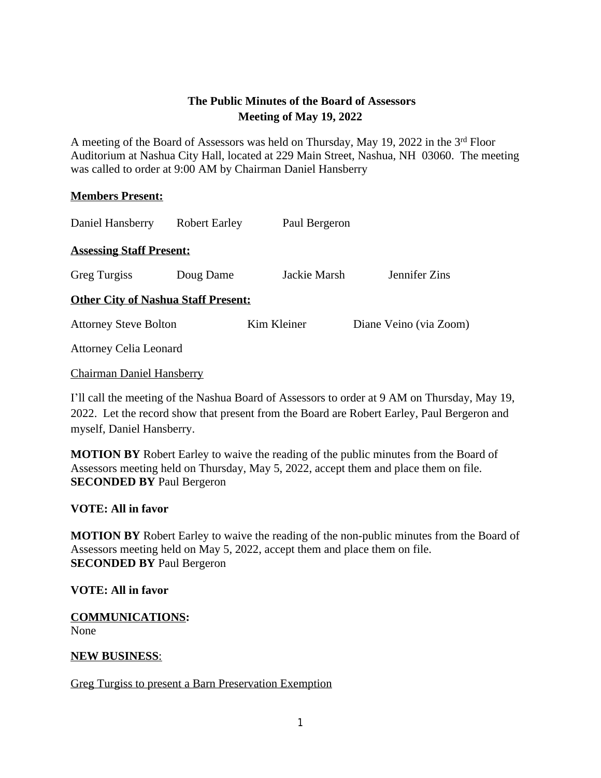## **The Public Minutes of the Board of Assessors Meeting of May 19, 2022**

A meeting of the Board of Assessors was held on Thursday, May 19, 2022 in the 3rd Floor Auditorium at Nashua City Hall, located at 229 Main Street, Nashua, NH 03060. The meeting was called to order at 9:00 AM by Chairman Daniel Hansberry

#### **Members Present:**

| Daniel Hansberry                           | <b>Robert Earley</b> | Paul Bergeron |                        |
|--------------------------------------------|----------------------|---------------|------------------------|
| <b>Assessing Staff Present:</b>            |                      |               |                        |
| <b>Greg Turgiss</b>                        | Doug Dame            | Jackie Marsh  | Jennifer Zins          |
| <b>Other City of Nashua Staff Present:</b> |                      |               |                        |
| <b>Attorney Steve Bolton</b>               |                      | Kim Kleiner   | Diane Veino (via Zoom) |
| <b>Attorney Celia Leonard</b>              |                      |               |                        |

Chairman Daniel Hansberry

I'll call the meeting of the Nashua Board of Assessors to order at 9 AM on Thursday, May 19, 2022. Let the record show that present from the Board are Robert Earley, Paul Bergeron and myself, Daniel Hansberry.

**MOTION BY** Robert Earley to waive the reading of the public minutes from the Board of Assessors meeting held on Thursday, May 5, 2022, accept them and place them on file. **SECONDED BY** Paul Bergeron

### **VOTE: All in favor**

**MOTION BY** Robert Earley to waive the reading of the non-public minutes from the Board of Assessors meeting held on May 5, 2022, accept them and place them on file. **SECONDED BY** Paul Bergeron

#### **VOTE: All in favor**

**COMMUNICATIONS:** None

### **NEW BUSINESS**:

Greg Turgiss to present a Barn Preservation Exemption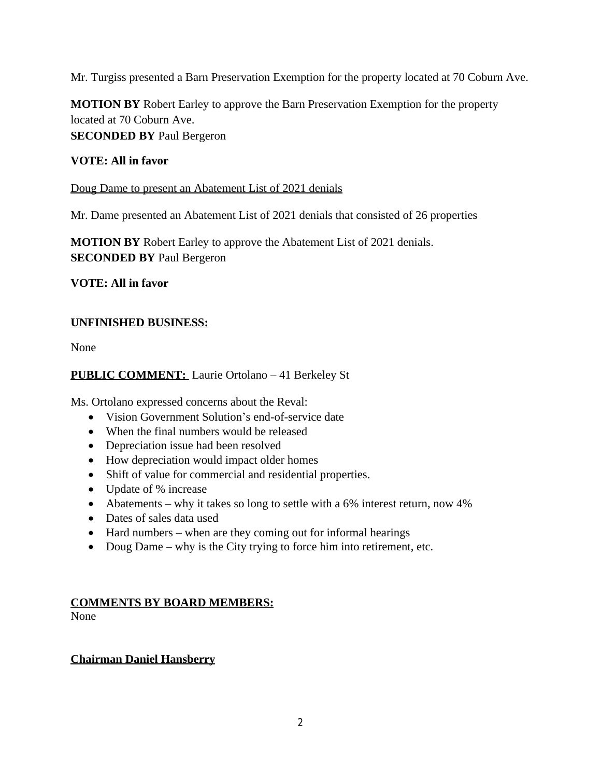Mr. Turgiss presented a Barn Preservation Exemption for the property located at 70 Coburn Ave.

**MOTION BY** Robert Earley to approve the Barn Preservation Exemption for the property located at 70 Coburn Ave. **SECONDED BY** Paul Bergeron

### **VOTE: All in favor**

#### Doug Dame to present an Abatement List of 2021 denials

Mr. Dame presented an Abatement List of 2021 denials that consisted of 26 properties

**MOTION BY** Robert Earley to approve the Abatement List of 2021 denials. **SECONDED BY** Paul Bergeron

**VOTE: All in favor**

## **UNFINISHED BUSINESS:**

None

## **PUBLIC COMMENT:** Laurie Ortolano – 41 Berkeley St

Ms. Ortolano expressed concerns about the Reval:

- Vision Government Solution's end-of-service date
- When the final numbers would be released
- Depreciation issue had been resolved
- How depreciation would impact older homes
- Shift of value for commercial and residential properties.
- Update of % increase
- Abatements why it takes so long to settle with a 6% interest return, now 4%
- Dates of sales data used
- Hard numbers when are they coming out for informal hearings
- Doug Dame why is the City trying to force him into retirement, etc.

# **COMMENTS BY BOARD MEMBERS:**

None

### **Chairman Daniel Hansberry**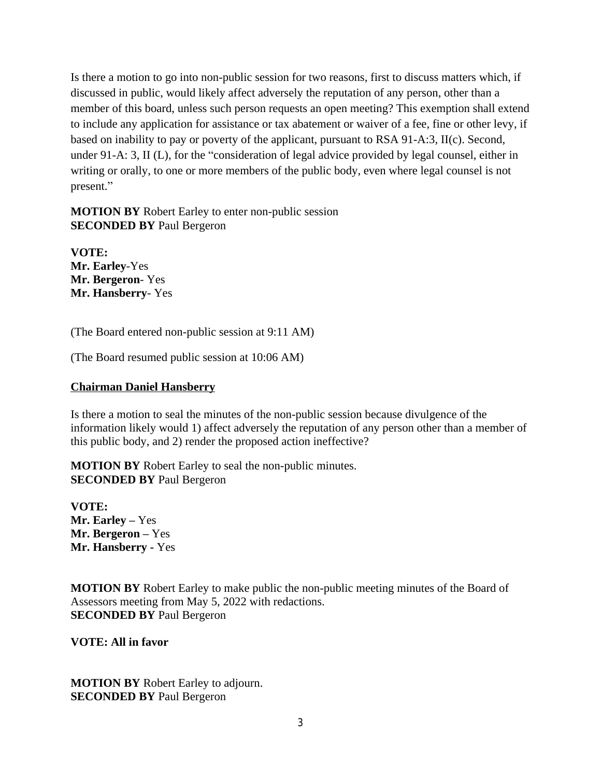Is there a motion to go into non-public session for two reasons, first to discuss matters which, if discussed in public, would likely affect adversely the reputation of any person, other than a member of this board, unless such person requests an open meeting? This exemption shall extend to include any application for assistance or tax abatement or waiver of a fee, fine or other levy, if based on inability to pay or poverty of the applicant, pursuant to RSA 91-A:3, II(c). Second, under 91-A: 3, II (L), for the "consideration of legal advice provided by legal counsel, either in writing or orally, to one or more members of the public body, even where legal counsel is not present."

**MOTION BY** Robert Earley to enter non-public session **SECONDED BY** Paul Bergeron

**VOTE: Mr. Earley**-Yes **Mr. Bergeron**- Yes **Mr. Hansberry**- Yes

(The Board entered non-public session at 9:11 AM)

(The Board resumed public session at 10:06 AM)

#### **Chairman Daniel Hansberry**

Is there a motion to seal the minutes of the non-public session because divulgence of the information likely would 1) affect adversely the reputation of any person other than a member of this public body, and 2) render the proposed action ineffective?

**MOTION BY** Robert Earley to seal the non-public minutes. **SECONDED BY** Paul Bergeron

**VOTE: Mr. Earley –** Yes **Mr. Bergeron –** Yes **Mr. Hansberry -** Yes

**MOTION BY** Robert Earley to make public the non-public meeting minutes of the Board of Assessors meeting from May 5, 2022 with redactions. **SECONDED BY** Paul Bergeron

**VOTE: All in favor**

**MOTION BY** Robert Earley to adjourn. **SECONDED BY** Paul Bergeron